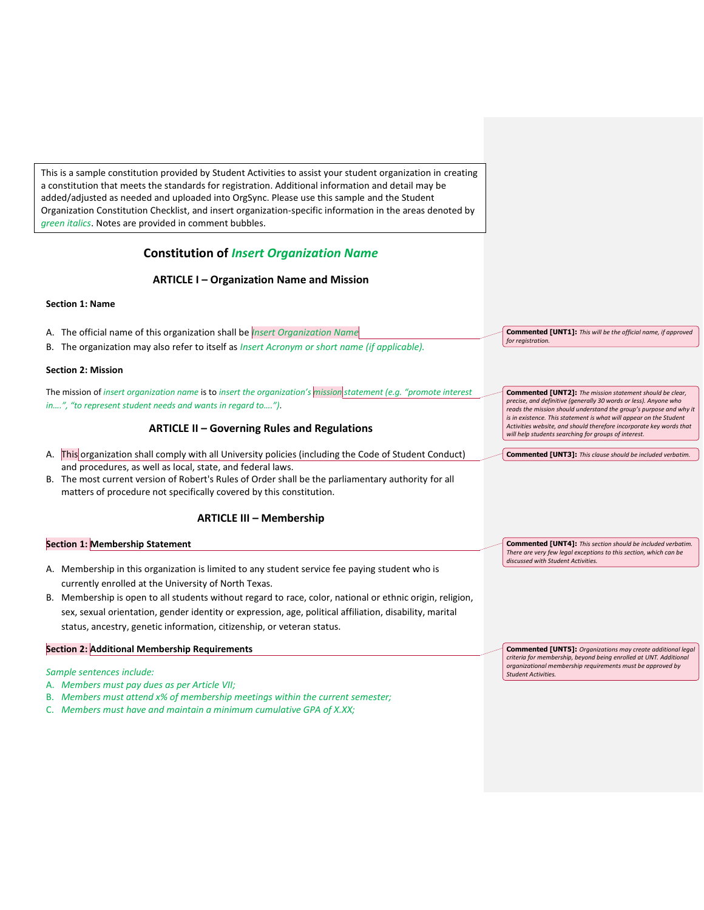This is a sample constitution provided by Student Activities to assist your student organization in creating a constitution that meets the standards for registration. Additional information and detail may be added/adjusted as needed and uploaded into OrgSync. Please use this sample and the Student Organization Constitution Checklist, and insert organization-specific information in the areas denoted by *green italics*. Notes are provided in comment bubbles.

# **Constitution of** *Insert Organization Name*

# **ARTICLE I – Organization Name and Mission**

# **Section 1: Name**

| A. The official name of this organization shall be <i>Insert Organization Name</i>                                | <b>Commented [UNT1]:</b> This will be the official name, if approved<br>for registration.                                                                                                         |
|-------------------------------------------------------------------------------------------------------------------|---------------------------------------------------------------------------------------------------------------------------------------------------------------------------------------------------|
| The organization may also refer to itself as <i>Insert Acronym or short name (if applicable)</i> .<br>В.          |                                                                                                                                                                                                   |
| <b>Section 2: Mission</b>                                                                                         |                                                                                                                                                                                                   |
| The mission of insert organization name is to insert the organization's mission statement (e.g. "promote interest | <b>Commented [UNT2]:</b> The mission statement should be clear,                                                                                                                                   |
| in", "to represent student needs and wants in regard to").                                                        | precise, and definitive (generally 30 words or less). Anyone who<br>reads the mission should understand the group's purpose and why it                                                            |
| <b>ARTICLE II - Governing Rules and Regulations</b>                                                               | is in existence. This statement is what will appear on the Student<br>Activities website, and should therefore incorporate key words that<br>will help students searching for groups of interest. |
| A. This organization shall comply with all University policies (including the Code of Student Conduct)            | <b>Commented [UNT3]:</b> This clause should be included verbatim.                                                                                                                                 |
| and procedures, as well as local, state, and federal laws.                                                        |                                                                                                                                                                                                   |

B. The most current version of Robert's Rules of Order shall be the parliamentary authority for all matters of procedure not specifically covered by this constitution.

# **ARTICLE III – Membership**

# **Section 1: Membership Statement**

- A. Membership in this organization is limited to any student service fee paying student who is currently enrolled at the University of North Texas.
- B. Membership is open to all students without regard to race, color, national or ethnic origin, religion, sex, sexual orientation, gender identity or expression, age, political affiliation, disability, marital status, ancestry, genetic information, citizenship, or veteran status.

### **Section 2: Additional Membership Requirements**

#### *Sample sentences include:*

- A. *Members must pay dues as per Article VII;*
- B. *Members must attend x% of membership meetings within the current semester;*
- C. *Members must have and maintain a minimum cumulative GPA of X.XX;*

**Commented [UNT4]:** *This section should be included verbatim. There are very few legal exceptions to this section, which can be discussed with Student Activities.*

**Commented [UNT5]:** *Organizations may create additional legal criteria for membership, beyond being enrolled at UNT. Additional organizational membership requirements must be approved by Student Activities.*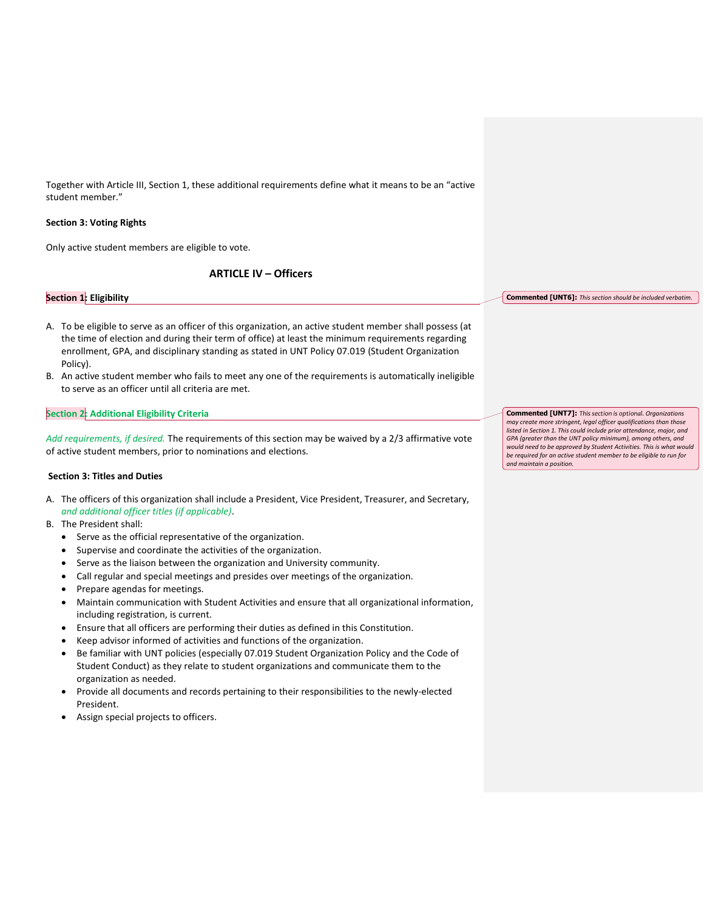Together with Article III, Section 1, these additional requirements define what it means to be an "active student member."

# **Section 3: Voting Rights**

Only active student members are eligible to vote.

# **ARTICLE IV – Officers**

#### **Section 1: Eligibility**

- A. To be eligible to serve as an officer of this organization, an active student member shall possess (at the time of election and during their term of office) at least the minimum requirements regarding enrollment, GPA, and disciplinary standing as stated in UNT Policy 07.019 (Student Organization Policy).
- B. An active student member who fails to meet any one of the requirements is automatically ineligible to serve as an officer until all criteria are met.

# **Section 2: Additional Eligibility Criteria**

*Add requirements, if desired.* The requirements of this section may be waived by a 2/3 affirmative vote of active student members, prior to nominations and elections.

### **Section 3: Titles and Duties**

- A. The officers of this organization shall include a President, Vice President, Treasurer, and Secretary, *and additional officer titles (if applicable)*.
- B. The President shall:
	- Serve as the official representative of the organization.
	- Supervise and coordinate the activities of the organization.
	- Serve as the liaison between the organization and University community.
	- Call regular and special meetings and presides over meetings of the organization.
	- Prepare agendas for meetings.
	- Maintain communication with Student Activities and ensure that all organizational information, including registration, is current.
	- Ensure that all officers are performing their duties as defined in this Constitution.
	- Keep advisor informed of activities and functions of the organization.
	- Be familiar with UNT policies (especially 07.019 Student Organization Policy and the Code of Student Conduct) as they relate to student organizations and communicate them to the organization as needed.
	- Provide all documents and records pertaining to their responsibilities to the newly-elected President.
	- Assign special projects to officers.

**Commented [UNT6]:** *This section should be included verbatim.*

**Commented [UNT7]:** *This section is optional. Organizations may create more stringent, legal officer qualifications than those listed in Section 1. This could include prior attendance, major, and GPA (greater than the UNT policy minimum), among others, and would need to be approved by Student Activities. This is what would be required for an active student member to be eligible to run for and maintain a position.*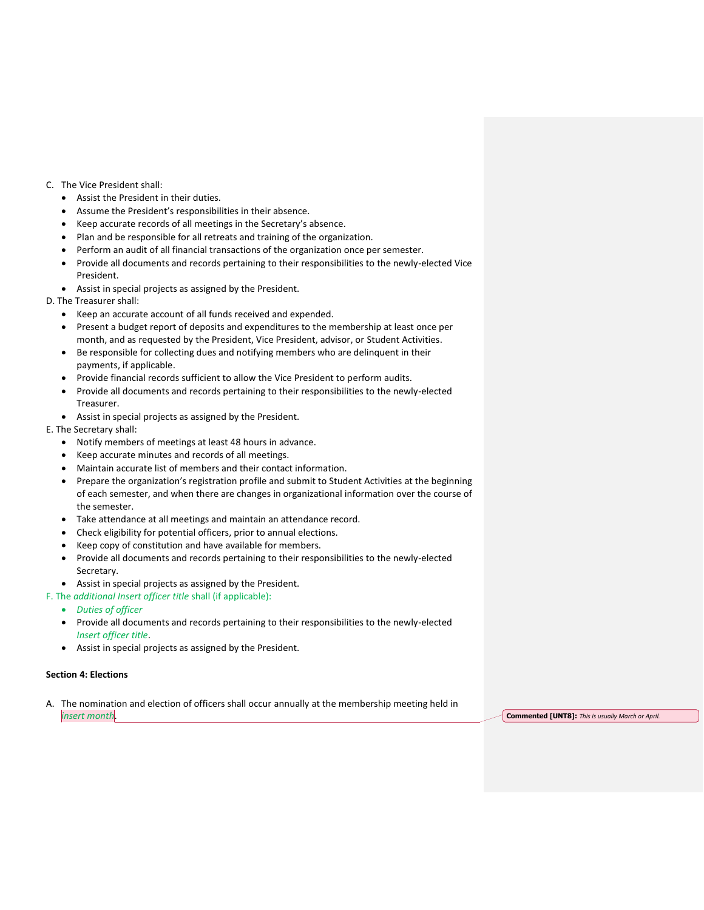- C. The Vice President shall:
	- Assist the President in their duties.
	- Assume the President's responsibilities in their absence.
	- Keep accurate records of all meetings in the Secretary's absence.
	- Plan and be responsible for all retreats and training of the organization.
	- Perform an audit of all financial transactions of the organization once per semester.
	- Provide all documents and records pertaining to their responsibilities to the newly-elected Vice President.
	- Assist in special projects as assigned by the President.
- D. The Treasurer shall:
	- Keep an accurate account of all funds received and expended.
	- Present a budget report of deposits and expenditures to the membership at least once per month, and as requested by the President, Vice President, advisor, or Student Activities.
	- Be responsible for collecting dues and notifying members who are delinquent in their payments, if applicable.
	- Provide financial records sufficient to allow the Vice President to perform audits.
	- Provide all documents and records pertaining to their responsibilities to the newly-elected Treasurer.
	- Assist in special projects as assigned by the President.
- E. The Secretary shall:
	- Notify members of meetings at least 48 hours in advance.
	- Keep accurate minutes and records of all meetings.
	- Maintain accurate list of members and their contact information.
	- Prepare the organization's registration profile and submit to Student Activities at the beginning of each semester, and when there are changes in organizational information over the course of the semester.
	- Take attendance at all meetings and maintain an attendance record.
	- Check eligibility for potential officers, prior to annual elections.
	- Keep copy of constitution and have available for members.
	- Provide all documents and records pertaining to their responsibilities to the newly-elected Secretary.
	- Assist in special projects as assigned by the President.
- F. The *additional Insert officer title* shall (if applicable):
	- *Duties of officer*
	- Provide all documents and records pertaining to their responsibilities to the newly-elected *Insert officer title*.
	- Assist in special projects as assigned by the President.

# **Section 4: Elections**

A. The nomination and election of officers shall occur annually at the membership meeting held in *insert month***. Commented [UNT8]:** *This is usually March or April.* **Commented [UNT8]:** *This is usually March or April.*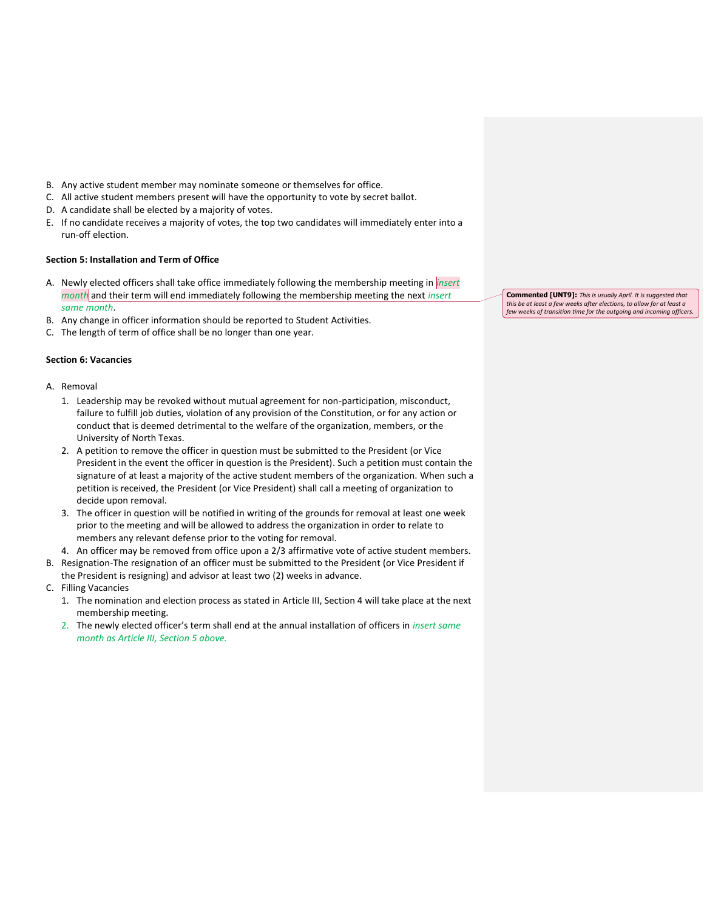- B. Any active student member may nominate someone or themselves for office.
- C. All active student members present will have the opportunity to vote by secret ballot.
- D. A candidate shall be elected by a majority of votes.
- E. If no candidate receives a majority of votes, the top two candidates will immediately enter into a run-off election.

# **Section 5: Installation and Term of Office**

- A. Newly elected officers shall take office immediately following the membership meeting in *insert month* and their term will end immediately following the membership meeting the next *insert same month*.
- B. Any change in officer information should be reported to Student Activities.
- C. The length of term of office shall be no longer than one year.

# **Section 6: Vacancies**

# A. Removal

- 1. Leadership may be revoked without mutual agreement for non-participation, misconduct, failure to fulfill job duties, violation of any provision of the Constitution, or for any action or conduct that is deemed detrimental to the welfare of the organization, members, or the University of North Texas.
- 2. A petition to remove the officer in question must be submitted to the President (or Vice President in the event the officer in question is the President). Such a petition must contain the signature of at least a majority of the active student members of the organization. When such a petition is received, the President (or Vice President) shall call a meeting of organization to decide upon removal.
- 3. The officer in question will be notified in writing of the grounds for removal at least one week prior to the meeting and will be allowed to address the organization in order to relate to members any relevant defense prior to the voting for removal.
- 4. An officer may be removed from office upon a 2/3 affirmative vote of active student members.
- B. Resignation-The resignation of an officer must be submitted to the President (or Vice President if the President is resigning) and advisor at least two (2) weeks in advance.
- C. Filling Vacancies
	- 1. The nomination and election process as stated in Article III, Section 4 will take place at the next membership meeting.
	- 2. The newly elected officer's term shall end at the annual installation of officers in *insert same month as Article III, Section 5 above.*

**Commented [UNT9]:** *This is usually April. It is suggested that this be at least a few weeks after elections, to allow for at least a few weeks of transition time for the outgoing and incoming officers.*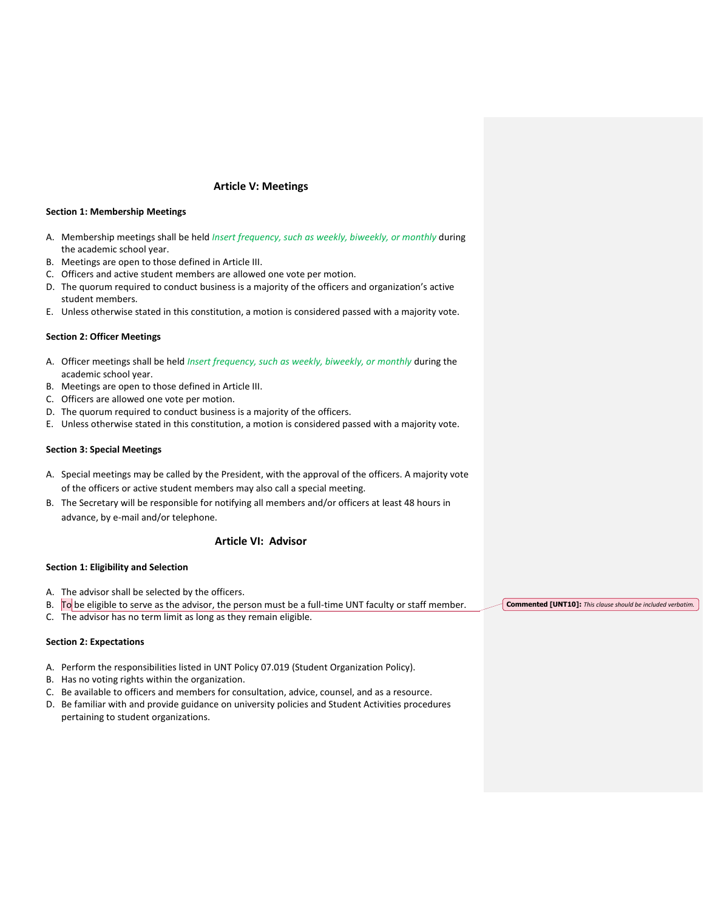# **Article V: Meetings**

#### **Section 1: Membership Meetings**

- A. Membership meetings shall be held *Insert frequency, such as weekly, biweekly, or monthly* during the academic school year.
- B. Meetings are open to those defined in Article III.
- C. Officers and active student members are allowed one vote per motion.
- D. The quorum required to conduct business is a majority of the officers and organization's active student members.
- E. Unless otherwise stated in this constitution, a motion is considered passed with a majority vote.

#### **Section 2: Officer Meetings**

- A. Officer meetings shall be held *Insert frequency, such as weekly, biweekly, or monthly* during the academic school year.
- B. Meetings are open to those defined in Article III.
- C. Officers are allowed one vote per motion.
- D. The quorum required to conduct business is a majority of the officers.
- E. Unless otherwise stated in this constitution, a motion is considered passed with a majority vote.

#### **Section 3: Special Meetings**

- A. Special meetings may be called by the President, with the approval of the officers. A majority vote of the officers or active student members may also call a special meeting.
- B. The Secretary will be responsible for notifying all members and/or officers at least 48 hours in advance, by e-mail and/or telephone.

# **Article VI: Advisor**

### **Section 1: Eligibility and Selection**

- A. The advisor shall be selected by the officers.
- B.  $\Box$  To be eligible to serve as the advisor, the person must be a full-time UNT faculty or staff member.
- C. The advisor has no term limit as long as they remain eligible.

#### **Section 2: Expectations**

- A. Perform the responsibilities listed in UNT Policy 07.019 (Student Organization Policy).
- B. Has no voting rights within the organization.
- C. Be available to officers and members for consultation, advice, counsel, and as a resource.
- D. Be familiar with and provide guidance on university policies and Student Activities procedures pertaining to student organizations.

**Commented [UNT10]:** *This clause should be included verbatim.*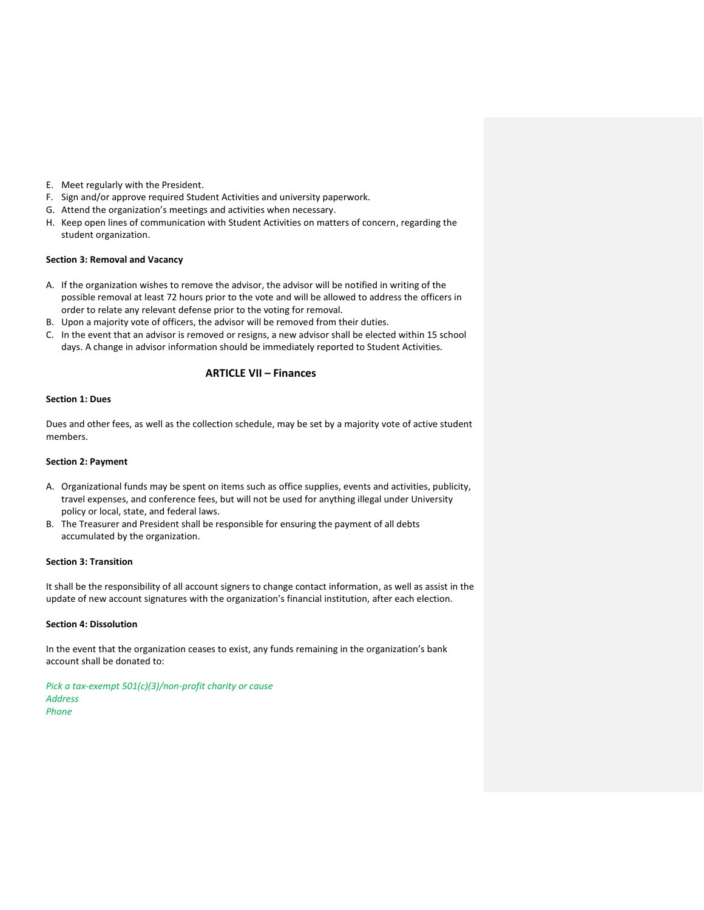- E. Meet regularly with the President.
- F. Sign and/or approve required Student Activities and university paperwork.
- G. Attend the organization's meetings and activities when necessary.
- H. Keep open lines of communication with Student Activities on matters of concern, regarding the student organization.

### **Section 3: Removal and Vacancy**

- A. If the organization wishes to remove the advisor, the advisor will be notified in writing of the possible removal at least 72 hours prior to the vote and will be allowed to address the officers in order to relate any relevant defense prior to the voting for removal.
- B. Upon a majority vote of officers, the advisor will be removed from their duties.
- C. In the event that an advisor is removed or resigns, a new advisor shall be elected within 15 school days. A change in advisor information should be immediately reported to Student Activities.

# **ARTICLE VII – Finances**

# **Section 1: Dues**

Dues and other fees, as well as the collection schedule, may be set by a majority vote of active student members.

### **Section 2: Payment**

- A. Organizational funds may be spent on items such as office supplies, events and activities, publicity, travel expenses, and conference fees, but will not be used for anything illegal under University policy or local, state, and federal laws.
- B. The Treasurer and President shall be responsible for ensuring the payment of all debts accumulated by the organization.

# **Section 3: Transition**

It shall be the responsibility of all account signers to change contact information, as well as assist in the update of new account signatures with the organization's financial institution, after each election.

### **Section 4: Dissolution**

In the event that the organization ceases to exist, any funds remaining in the organization's bank account shall be donated to:

*Pick a tax-exempt 501(c)(3)/non-profit charity or cause Address Phone*